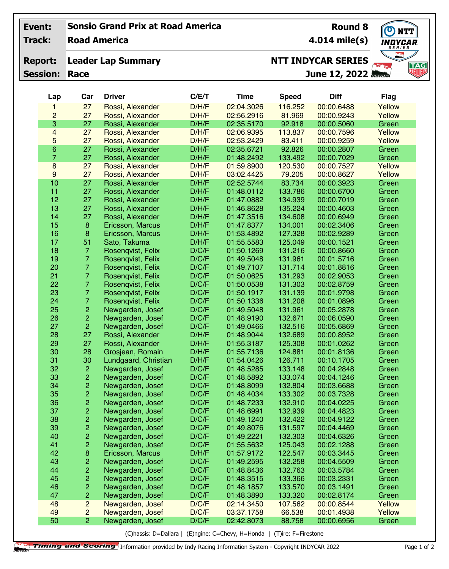## **Sonsio Grand Prix at Road America Event:**

**Road America Track:**

## **Leader Lap Summary Report:**

**Session: Race**

**4.014 mile(s)**

**Round 8**

**NTT** NDYCAR **TAG**<br>NUB

## **NTT INDYCAR SERIES**

**Lap Car Driver C/E/T Time Speed Diff Flag** 27 Rossi, Alexander D/H/F 02:04.3026 116.252 00:00.6488 Yellow **June 12, 2022**

| 2                | 27             | Rossi, Alexander                         | D/H/F          | 02:56.2916               | 81.969             | 00:00.9243               | Yellow         |
|------------------|----------------|------------------------------------------|----------------|--------------------------|--------------------|--------------------------|----------------|
| 3                | 27             | Rossi, Alexander                         | D/H/F          | 02:35.5170               | 92.918             | 00:00.5060               | Green          |
| $\overline{4}$   | 27             | Rossi, Alexander                         | D/H/F          | 02:06.9395               | 113.837            | 00:00.7596               | Yellow         |
| 5                | 27             | Rossi, Alexander                         | D/H/F          | 02:53.2429               | 83.411             | 00:00.9259               | Yellow         |
| $\,6\,$          | 27             | Rossi, Alexander                         | D/H/F          | 02:35.6721               | 92.826             | 00:00.2807               | Green          |
| $\overline{7}$   | 27             | Rossi, Alexander                         | D/H/F          | 01:48.2492               | 133.492            | 00:00.7029               | Green          |
| $\boldsymbol{8}$ | 27             | Rossi, Alexander                         | D/H/F          | 01:59.8900               | 120.530            | 00:00.7527               | Yellow         |
| 9                | 27             | Rossi, Alexander                         | D/H/F          | 03:02.4425               | 79.205             | 00:00.8627               | Yellow         |
| 10               | 27             | Rossi, Alexander                         | D/H/F          | 02:52.5744               | 83.734             | 00:00.3923               | Green          |
| 11               | 27             | Rossi, Alexander                         | D/H/F          | 01:48.0112               | 133.786            | 00:00.6700               | Green          |
| 12               | 27             | Rossi, Alexander                         | D/H/F          | 01:47.0882               | 134.939            | 00:00.7019               | Green          |
| 13               | 27             | Rossi, Alexander                         | D/H/F          | 01:46.8628               | 135.224            | 00:00.4603               | Green          |
| 14               | 27             | Rossi, Alexander                         | D/H/F          | 01:47.3516               | 134.608            | 00:00.6949               | Green          |
| 15               | $\bf 8$        | Ericsson, Marcus                         | D/H/F          | 01:47.8377               | 134.001            | 00:02.3406               | Green          |
| 16               | $\bf8$         | Ericsson, Marcus                         | D/H/F          | 01:53.4892               | 127.328            | 00:02.9289               | Green          |
| 17               | 51             | Sato, Takuma                             | D/H/F          | 01:55.5583               | 125.049            | 00:00.1521               | Green          |
| 18               | $\overline{7}$ | Rosenqvist, Felix                        | D/C/F          | 01:50.1269               | 131.216            | 00:00.8660               | Green          |
| 19               | $\overline{7}$ | Rosenqvist, Felix                        | D/C/F          | 01:49.5048               | 131.961            | 00:01.5716               | Green          |
| 20               | $\overline{7}$ | Rosenqvist, Felix                        | D/C/F          | 01:49.7107               | 131.714            | 00:01.8816               | Green          |
| 21               | $\overline{7}$ | Rosenqvist, Felix                        | D/C/F          | 01:50.0625               | 131.293            | 00:02.9053               | Green          |
| 22               | $\overline{7}$ | Rosenqvist, Felix                        | D/C/F          | 01:50.0538               | 131.303            | 00:02.8759               | Green          |
| 23               | $\overline{7}$ | Rosenqvist, Felix                        | D/C/F          | 01:50.1917               | 131.139            | 00:01.9798               | Green          |
| 24               | $\overline{7}$ | Rosenqvist, Felix                        | D/C/F          | 01:50.1336               | 131.208            | 00:01.0896               | Green          |
| 25               | $\overline{2}$ | Newgarden, Josef                         | D/C/F          | 01:49.5048               | 131.961            | 00:05.2878               | Green          |
| 26               | $\overline{2}$ | Newgarden, Josef                         | D/C/F          | 01:48.9190               | 132.671            | 00:06.0590               | Green          |
| 27               | $\overline{2}$ | Newgarden, Josef                         | D/C/F          | 01:49.0466               | 132.516            | 00:05.6869               | Green          |
| 28               | 27             | Rossi, Alexander                         | D/H/F          | 01:48.9044               | 132.689            | 00:00.8952               | Green          |
| 29               | 27             | Rossi, Alexander                         | D/H/F          | 01:55.3187               | 125.308            | 00:01.0262               | Green          |
| 30<br>31         | 28<br>30       | Grosjean, Romain                         | D/H/F<br>D/H/F | 01:55.7136<br>01:54.0426 | 124.881<br>126.711 | 00:01.8136<br>00:10.1705 | Green          |
| 32               | $\overline{c}$ | Lundgaard, Christian<br>Newgarden, Josef | D/C/F          | 01:48.5285               | 133.148            | 00:04.2848               | Green<br>Green |
| 33               | $\overline{c}$ | Newgarden, Josef                         | D/C/F          | 01:48.5892               | 133.074            | 00:04.1246               | Green          |
| 34               | $\overline{2}$ | Newgarden, Josef                         | D/C/F          | 01:48.8099               | 132.804            | 00:03.6688               | Green          |
| 35               | $\overline{c}$ | Newgarden, Josef                         | D/C/F          | 01:48.4034               | 133.302            | 00:03.7328               | Green          |
| 36               |                | Newgarden, Josef                         | D/C/F          | 01:48.7233               | 132.910            | 00:04.0225               | Green          |
| 37               | $\frac{2}{2}$  | Newgarden, Josef                         | D/C/F          | 01:48.6991               | 132.939            | 00:04.4823               | Green          |
| 38               | $\overline{2}$ | Newgarden, Josef                         | D/C/F          | 01:49.1240               | 132.422            | 00:04.9122               | Green          |
| 39               | $\overline{2}$ | Newgarden, Josef                         | D/C/F          | 01:49.8076               | 131.597            | 00:04.4469               | Green          |
| 40               | 2              | Newgarden, Josef                         | D/C/F          | 01:49.2221               | 132.303            | 00:04.6326               | Green          |
| 41               | 2              | Newgarden, Josef                         | D/C/F          | 01:55.5632               | 125.043            | 00:02.1288               | Green          |
| 42               | 8              | Ericsson, Marcus                         | D/H/F          | 01:57.9172               | 122.547            | 00:03.3445               | Green          |
| 43               | 2              | Newgarden, Josef                         | D/C/F          | 01:49.2595               | 132.258            | 00:04.5509               | Green          |
| 44               | 2              | Newgarden, Josef                         | D/C/F          | 01:48.8436               | 132.763            | 00:03.5784               | Green          |
| 45               | 2              | Newgarden, Josef                         | D/C/F          | 01:48.3515               | 133.366            | 00:03.2331               | Green          |
| 46               | 2              | Newgarden, Josef                         | D/C/F          | 01:48.1857               | 133.570            | 00:03.1491               | Green          |
| 47               | 2              | Newgarden, Josef                         | D/C/F          | 01:48.3890               | 133.320            | 00:02.8174               | Green          |
| 48               | $\overline{c}$ | Newgarden, Josef                         | D/C/F          | 02:14.3450               | 107.562            | 00:00.8544               | Yellow         |
| 49               | $\overline{c}$ | Newgarden, Josef                         | D/C/F          | 03:37.1758               | 66.538             | 00:01.4938               | Yellow         |
| 50               | $\overline{2}$ | Newgarden, Josef                         | D/C/F          | 02:42.8073               | 88.758             | 00:00.6956               | Green          |
|                  |                |                                          |                |                          |                    |                          |                |

(C)hassis: D=Dallara | (E)ngine: C=Chevy, H=Honda | (T)ire: F=Firestone